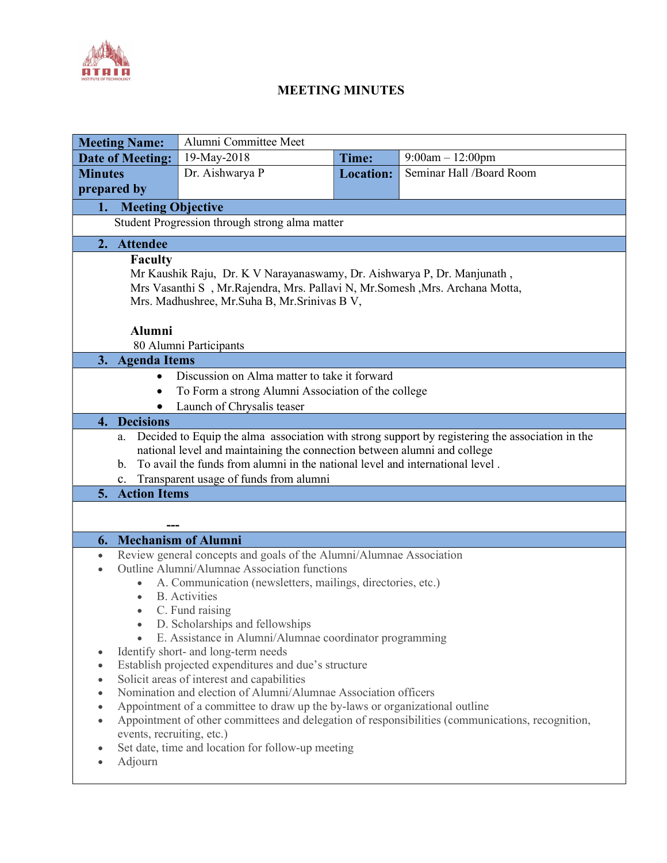

## MEETING MINUTES

|                                                                                                               | <b>Meeting Name:</b>                                                                                  | Alumni Committee Meet                                                         |                  |                          |  |  |
|---------------------------------------------------------------------------------------------------------------|-------------------------------------------------------------------------------------------------------|-------------------------------------------------------------------------------|------------------|--------------------------|--|--|
| <b>Date of Meeting:</b>                                                                                       |                                                                                                       | 19-May-2018                                                                   | Time:            | $9:00am - 12:00pm$       |  |  |
| <b>Minutes</b>                                                                                                |                                                                                                       | Dr. Aishwarya P                                                               | <b>Location:</b> | Seminar Hall /Board Room |  |  |
|                                                                                                               | prepared by                                                                                           |                                                                               |                  |                          |  |  |
| <b>Meeting Objective</b><br>1.                                                                                |                                                                                                       |                                                                               |                  |                          |  |  |
| Student Progression through strong alma matter                                                                |                                                                                                       |                                                                               |                  |                          |  |  |
| 2. Attendee                                                                                                   |                                                                                                       |                                                                               |                  |                          |  |  |
| <b>Faculty</b>                                                                                                |                                                                                                       |                                                                               |                  |                          |  |  |
| Mr Kaushik Raju, Dr. K V Narayanaswamy, Dr. Aishwarya P, Dr. Manjunath,                                       |                                                                                                       |                                                                               |                  |                          |  |  |
| Mrs Vasanthi S, Mr. Rajendra, Mrs. Pallavi N, Mr. Somesh, Mrs. Archana Motta,                                 |                                                                                                       |                                                                               |                  |                          |  |  |
| Mrs. Madhushree, Mr. Suha B, Mr. Srinivas B V,                                                                |                                                                                                       |                                                                               |                  |                          |  |  |
|                                                                                                               |                                                                                                       |                                                                               |                  |                          |  |  |
| Alumni<br>80 Alumni Participants                                                                              |                                                                                                       |                                                                               |                  |                          |  |  |
| 3.                                                                                                            | <b>Agenda Items</b>                                                                                   |                                                                               |                  |                          |  |  |
| Discussion on Alma matter to take it forward<br>$\bullet$                                                     |                                                                                                       |                                                                               |                  |                          |  |  |
| To Form a strong Alumni Association of the college<br>$\bullet$                                               |                                                                                                       |                                                                               |                  |                          |  |  |
|                                                                                                               | Launch of Chrysalis teaser                                                                            |                                                                               |                  |                          |  |  |
| $\overline{4}$ .                                                                                              | <b>Decisions</b>                                                                                      |                                                                               |                  |                          |  |  |
|                                                                                                               | Decided to Equip the alma association with strong support by registering the association in the<br>a. |                                                                               |                  |                          |  |  |
|                                                                                                               | national level and maintaining the connection between alumni and college                              |                                                                               |                  |                          |  |  |
|                                                                                                               | $\mathbf{b}$ .                                                                                        | To avail the funds from alumni in the national level and international level. |                  |                          |  |  |
|                                                                                                               | c.                                                                                                    | Transparent usage of funds from alumni                                        |                  |                          |  |  |
|                                                                                                               | 5. Action Items                                                                                       |                                                                               |                  |                          |  |  |
|                                                                                                               |                                                                                                       |                                                                               |                  |                          |  |  |
| 6.                                                                                                            | <b>Mechanism of Alumni</b>                                                                            |                                                                               |                  |                          |  |  |
| $\bullet$                                                                                                     | Review general concepts and goals of the Alumni/Alumnae Association                                   |                                                                               |                  |                          |  |  |
|                                                                                                               | Outline Alumni/Alumnae Association functions                                                          |                                                                               |                  |                          |  |  |
|                                                                                                               | A. Communication (newsletters, mailings, directories, etc.)                                           |                                                                               |                  |                          |  |  |
|                                                                                                               | <b>B.</b> Activities<br>$\bullet$                                                                     |                                                                               |                  |                          |  |  |
|                                                                                                               | C. Fund raising<br>$\bullet$                                                                          |                                                                               |                  |                          |  |  |
|                                                                                                               | D. Scholarships and fellowships                                                                       |                                                                               |                  |                          |  |  |
|                                                                                                               | E. Assistance in Alumni/Alumnae coordinator programming                                               |                                                                               |                  |                          |  |  |
| $\bullet$                                                                                                     | Identify short- and long-term needs<br>٠<br>Establish projected expenditures and due's structure      |                                                                               |                  |                          |  |  |
| $\bullet$                                                                                                     | Solicit areas of interest and capabilities                                                            |                                                                               |                  |                          |  |  |
| Nomination and election of Alumni/Alumnae Association officers<br>$\bullet$                                   |                                                                                                       |                                                                               |                  |                          |  |  |
| Appointment of a committee to draw up the by-laws or organizational outline<br>$\bullet$                      |                                                                                                       |                                                                               |                  |                          |  |  |
| Appointment of other committees and delegation of responsibilities (communications, recognition,<br>$\bullet$ |                                                                                                       |                                                                               |                  |                          |  |  |
|                                                                                                               | events, recruiting, etc.)                                                                             |                                                                               |                  |                          |  |  |
| ۰                                                                                                             |                                                                                                       | Set date, time and location for follow-up meeting                             |                  |                          |  |  |
|                                                                                                               | Adjourn                                                                                               |                                                                               |                  |                          |  |  |